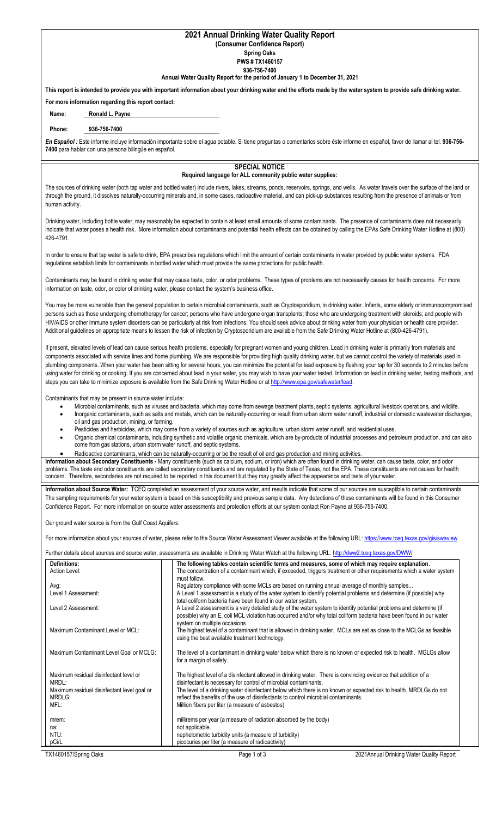## **2021 Annual Drinking Water Quality Report (Consumer Confidence Report)**

**Spring Oaks**

**PWS # TX1460157 936-756-7400**

**Annual Water Quality Report for the period of January 1 to December 31, 2021**

**This report is intended to provide you with important information about your drinking water and the efforts made by the water system to provide safe drinking water.**

**For more information regarding this report contact:**

**Name: Ronald L. Payne**

## **Phone: 936-756-7400**

*En Español :* Este informe incluye información importante sobre el agua potable. Si tiene preguntas o comentarios sobre éste informe en español, favor de llamar al tel. **936-756- 7400** para hablar con una persona bilingüe en español.

## **SPECIAL NOTICE Required language for ALL community public water supplies:**

The sources of drinking water (both tap water and bottled water) include rivers, lakes, streams, ponds, reservoirs, springs, and wells. As water travels over the surface of the land or through the ground, it dissolves naturally-occurring minerals and, in some cases, radioactive material, and can pick-up substances resulting from the presence of animals or from human activity.

Drinking water, including bottle water, may reasonably be expected to contain at least small amounts of some contaminants. The presence of contaminants does not necessarily indicate that water poses a health risk. More information about contaminants and potential health effects can be obtained by calling the EPAs Safe Drinking Water Hotline at (800) 426-4791.

In order to ensure that tap water is safe to drink, EPA prescribes regulations which limit the amount of certain contaminants in water provided by public water systems. FDA regulations establish limits for contaminants in bottled water which must provide the same protections for public health.

Contaminants may be found in drinking water that may cause taste, color, or odor problems. These types of problems are not necessarily causes for health concerns. For more information on taste, odor, or color of drinking water, please contact the system's business office.

You may be more vulnerable than the general population to certain microbial contaminants, such as Cryptosporidium, in drinking water. Infants, some elderly or immunocompromised persons such as those undergoing chemotherapy for cancer; persons who have undergone organ transplants; those who are undergoing treatment with steroids; and people with HIV/AIDS or other immune system disorders can be particularly at risk from infections. You should seek advice about drinking water from your physician or health care provider. Additional guidelines on appropriate means to lessen the risk of infection by Cryptosporidium are available from the Safe Drinking Water Hotline at (800-426-4791).

If present, elevated levels of lead can cause serious health problems, especially for pregnant women and young children. Lead in drinking water is primarily from materials and components associated with service lines and home plumbing. We are responsible for providing high quality drinking water, but we cannot control the variety of materials used in plumbing components. When your water has been sitting for several hours, you can minimize the potential for lead exposure by flushing your tap for 30 seconds to 2 minutes before using water for drinking or cooking. If you are concerned about lead in your water, you may wish to have your water tested. Information on lead in drinking water, testing methods, and steps you can take to minimize exposure is available from the Safe Drinking Water Hotline or a[t http://www.epa.gov/safewater/lead.](http://www.epa.gov/safewater/lead)

Contaminants that may be present in source water include:

- Microbial contaminants, such as viruses and bacteria, which may come from sewage treatment plants, septic systems, agricultural livestock operations, and wildlife.
- Inorganic contaminants, such as salts and metals, which can be naturally-occurring or result from urban storm water runoff, industrial or domestic wastewater discharges, oil and gas production, mining, or farming.
- Pesticides and herbicides, which may come from a variety of sources such as agriculture, urban storm water runoff, and residential uses.
- Organic chemical contaminants, including synthetic and volatile organic chemicals, which are by-products of industrial processes and petroleum production, and can also come from gas stations, urban storm water runoff, and septic systems.
- Radioactive contaminants, which can be naturally-occurring or be the result of oil and gas production and mining activities.

**Information about Secondary Constituents -** Many constituents (such as calcium, sodium, or iron) which are often found in drinking water, can cause taste, color, and odor problems. The taste and odor constituents are called secondary constituents and are regulated by the State of Texas, not the EPA. These constituents are not causes for health concern. Therefore, secondaries are not required to be reported in this document but they may greatly affect the appearance and taste of your water.

**Information about Source Water:** TCEQ completed an assessment of your source water, and results indicate that some of our sources are susceptible to certain contaminants. The sampling requirements for your water system is based on this susceptibility and previous sample data. Any detections of these contaminants will be found in this Consumer Confidence Report. For more information on source water assessments and protection efforts at our system contact Ron Payne at 936-756-7400.

Our ground water source is from the Gulf Coast Aquifers.

For more information about your sources of water, please refer to the Source Water Assessment Viewer available at the following URL[: https://www.tceq.texas.gov/gis/swaview](https://www.tceq.texas.gov/gis/swaview)

Further details about sources and source water, assessments are available in Drinking Water Watch at the following URL:<http://dww2.tceq.texas.gov/DWW/>

| Definitions:                                |                                                                                                                      |
|---------------------------------------------|----------------------------------------------------------------------------------------------------------------------|
|                                             | The following tables contain scientific terms and measures, some of which may require explanation.                   |
| Action Level:                               | The concentration of a contaminant which, if exceeded, triggers treatment or other requirements which a water system |
|                                             | must follow.                                                                                                         |
| Avg:                                        | Regulatory compliance with some MCLs are based on running annual average of monthly samples                          |
| Level 1 Assessment:                         | A Level 1 assessment is a study of the water system to identify potential problems and determine (if possible) why   |
|                                             |                                                                                                                      |
|                                             | total coliform bacteria have been found in our water system.                                                         |
| Level 2 Assessment:                         | A Level 2 assessment is a very detailed study of the water system to identify potential problems and determine (if   |
|                                             | possible) why an E. coli MCL violation has occurred and/or why total coliform bacteria have been found in our water  |
|                                             | system on multiple occasions                                                                                         |
| Maximum Contaminant Level or MCL:           | The highest level of a contaminant that is allowed in drinking water. MCLs are set as close to the MCLGs as feasible |
|                                             |                                                                                                                      |
|                                             | using the best available treatment technology.                                                                       |
|                                             |                                                                                                                      |
| Maximum Contaminant Level Goal or MCLG:     | The level of a contaminant in drinking water below which there is no known or expected risk to health. MGLGs allow   |
|                                             | for a margin of safety.                                                                                              |
|                                             |                                                                                                                      |
| Maximum residual disinfectant level or      | The highest level of a disinfectant allowed in drinking water. There is convincing evidence that addition of a       |
|                                             |                                                                                                                      |
| MRDL:                                       | disinfectant is necessary for control of microbial contaminants.                                                     |
| Maximum residual disinfectant level goal or | The level of a drinking water disinfectant below which there is no known or expected risk to health. MRDLGs do not   |
| MRDLG:                                      | reflect the benefits of the use of disinfectants to control microbial contaminants.                                  |
| MFL:                                        | Million fibers per liter (a measure of asbestos)                                                                     |
|                                             |                                                                                                                      |
| mrem:                                       | millirems per year (a measure of radiation absorbed by the body)                                                     |
|                                             |                                                                                                                      |
| na:                                         | not applicable.                                                                                                      |
| NTU:                                        | nephelometric turbidity units (a measure of turbidity)                                                               |
| pCi/L                                       | picocuries per liter (a measure of radioactivity)                                                                    |
|                                             |                                                                                                                      |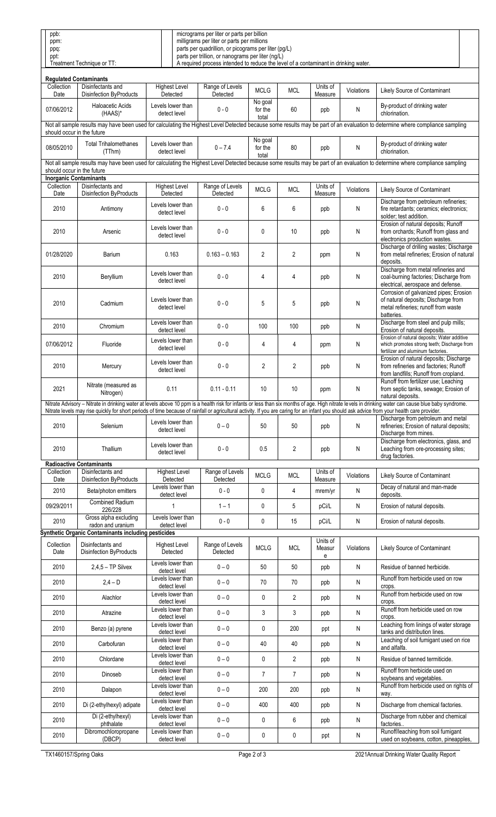| ppb:                       | micrograms per liter or parts per billion                                           |  |
|----------------------------|-------------------------------------------------------------------------------------|--|
| ppm:                       | milligrams per liter or parts per millions                                          |  |
| ppq:                       | parts per quadrillion, or picograms per liter (pg/L)                                |  |
| ppt:                       | parts per trillion, or nanograms per liter (ng/L)                                   |  |
| Treatment Technique or TT: | A required process intended to reduce the level of a contaminant in drinking water. |  |

| <b>Regulated Contaminants</b>                                                                                                                                                                               |                                                                                                                                                                                                                                                                                                                                                                                                       |                                   |                             |                             |                |                     |            |                                                                                                                                                                               |  |  |  |  |
|-------------------------------------------------------------------------------------------------------------------------------------------------------------------------------------------------------------|-------------------------------------------------------------------------------------------------------------------------------------------------------------------------------------------------------------------------------------------------------------------------------------------------------------------------------------------------------------------------------------------------------|-----------------------------------|-----------------------------|-----------------------------|----------------|---------------------|------------|-------------------------------------------------------------------------------------------------------------------------------------------------------------------------------|--|--|--|--|
| Collection<br>Date                                                                                                                                                                                          | Disinfectants and<br><b>Disinfection ByProducts</b>                                                                                                                                                                                                                                                                                                                                                   | <b>Highest Level</b><br>Detected  | Range of Levels<br>Detected | <b>MCLG</b>                 | <b>MCL</b>     | Units of<br>Measure | Violations | Likely Source of Contaminant                                                                                                                                                  |  |  |  |  |
| 07/06/2012                                                                                                                                                                                                  | <b>Haloacetic Acids</b><br>(HAAS)*                                                                                                                                                                                                                                                                                                                                                                    | Levels lower than<br>detect level | $0 - 0$                     | No goal<br>for the<br>total | 60             | ppb                 | N          | By-product of drinking water<br>chlorination.                                                                                                                                 |  |  |  |  |
| Not all sample results may have been used for calculating the Highest Level Detected because some results may be part of an evaluation to determine where compliance sampling<br>should occur in the future |                                                                                                                                                                                                                                                                                                                                                                                                       |                                   |                             |                             |                |                     |            |                                                                                                                                                                               |  |  |  |  |
| 08/05/2010                                                                                                                                                                                                  | <b>Total Trihalomethanes</b><br>(TThm)                                                                                                                                                                                                                                                                                                                                                                | Levels lower than<br>detect level | $0 - 7.4$                   | No goal<br>for the<br>total | 80             | ppb                 | N          | By-product of drinking water<br>chlorination.                                                                                                                                 |  |  |  |  |
| should occur in the future                                                                                                                                                                                  |                                                                                                                                                                                                                                                                                                                                                                                                       |                                   |                             |                             |                |                     |            | Not all sample results may have been used for calculating the Highest Level Detected because some results may be part of an evaluation to determine where compliance sampling |  |  |  |  |
| <b>Inorganic Contaminants</b>                                                                                                                                                                               |                                                                                                                                                                                                                                                                                                                                                                                                       |                                   |                             |                             |                |                     |            |                                                                                                                                                                               |  |  |  |  |
| Collection<br>Date                                                                                                                                                                                          | Disinfectants and<br><b>Disinfection ByProducts</b>                                                                                                                                                                                                                                                                                                                                                   | <b>Highest Level</b><br>Detected  | Range of Levels<br>Detected | <b>MCLG</b>                 | <b>MCL</b>     | Units of<br>Measure | Violations | Likely Source of Contaminant                                                                                                                                                  |  |  |  |  |
| 2010                                                                                                                                                                                                        | Antimony                                                                                                                                                                                                                                                                                                                                                                                              | Levels lower than<br>detect level | $0 - 0$                     | 6                           | 6              | ppb                 | N          | Discharge from petroleum refineries;<br>fire retardants; ceramics; electronics;<br>solder; test addition.                                                                     |  |  |  |  |
| 2010                                                                                                                                                                                                        | Arsenic                                                                                                                                                                                                                                                                                                                                                                                               | Levels lower than<br>detect level | $0 - 0$                     | 0                           | 10             | ppb                 | N          | Erosion of natural deposits; Runoff<br>from orchards; Runoff from glass and<br>electronics production wastes.                                                                 |  |  |  |  |
| 01/28/2020                                                                                                                                                                                                  | Barium                                                                                                                                                                                                                                                                                                                                                                                                | 0.163                             | $0.163 - 0.163$             | $\overline{2}$              | $\overline{2}$ | ppm                 | N          | Discharge of drilling wastes; Discharge<br>from metal refineries; Erosion of natural<br>deposits.                                                                             |  |  |  |  |
| 2010                                                                                                                                                                                                        | Beryllium                                                                                                                                                                                                                                                                                                                                                                                             | Levels lower than<br>detect level | $0 - 0$                     | $\overline{4}$              | 4              | ppb                 | N          | Discharge from metal refineries and<br>coal-burning factories; Discharge from<br>electrical, aerospace and defense.                                                           |  |  |  |  |
| 2010                                                                                                                                                                                                        | Cadmium                                                                                                                                                                                                                                                                                                                                                                                               | Levels lower than<br>detect level | $0 - 0$                     | 5                           | $\sqrt{5}$     | ppb                 | N          | Corrosion of galvanized pipes; Erosion<br>of natural deposits; Discharge from<br>metal refineries; runoff from waste<br>batteries.                                            |  |  |  |  |
| 2010                                                                                                                                                                                                        | Chromium                                                                                                                                                                                                                                                                                                                                                                                              | Levels lower than<br>detect level | $0 - 0$                     | 100                         | 100            | ppb                 | N          | Discharge from steel and pulp mills;<br>Erosion of natural deposits.                                                                                                          |  |  |  |  |
| 07/06/2012                                                                                                                                                                                                  | Fluoride                                                                                                                                                                                                                                                                                                                                                                                              | Levels lower than<br>detect level | $0 - 0$                     | 4                           | 4              | ppm                 | N          | Erosion of natural deposits; Water additive<br>which promotes strong teeth; Discharge from<br>fertilizer and aluminum factories.                                              |  |  |  |  |
| 2010                                                                                                                                                                                                        | Mercury                                                                                                                                                                                                                                                                                                                                                                                               | Levels lower than<br>detect level | $0 - 0$                     | $\overline{2}$              | $\overline{2}$ | ppb                 | N          | Erosion of natural deposits; Discharge<br>from refineries and factories; Runoff<br>from landfills; Runoff from cropland.                                                      |  |  |  |  |
| 2021                                                                                                                                                                                                        | Nitrate (measured as<br>Nitrogen)                                                                                                                                                                                                                                                                                                                                                                     | 0.11                              | $0.11 - 0.11$               | 10                          | 10             | ppm                 | N          | Runoff from fertilizer use; Leaching<br>from septic tanks, sewage; Erosion of<br>natural deposits.                                                                            |  |  |  |  |
|                                                                                                                                                                                                             | Nitrate Advisory - Nitrate in drinking water at levels above 10 ppm is a health risk for infants or less than six months of age. High nitrate levels in drinking water can cause blue baby syndrome.<br>Nitrate levels may rise quickly for short periods of time because of rainfall or agricultural activity. If you are caring for an infant you should ask advice from your health care provider. |                                   |                             |                             |                |                     |            |                                                                                                                                                                               |  |  |  |  |
| 2010                                                                                                                                                                                                        | Selenium                                                                                                                                                                                                                                                                                                                                                                                              | Levels lower than<br>detect level | $0 - 0$                     | 50                          | 50             | ppb                 | N          | Discharge from petroleum and metal<br>refineries; Erosion of natural deposits;<br>Discharge from mines.                                                                       |  |  |  |  |
| 2010                                                                                                                                                                                                        | Thallium                                                                                                                                                                                                                                                                                                                                                                                              | Levels lower than<br>detect level | $0 - 0$                     | 0.5                         | 2              | ppb                 | N          | Discharge from electronics, glass, and<br>Leaching from ore-processing sites;<br>drug factories.                                                                              |  |  |  |  |
| Collection                                                                                                                                                                                                  | <b>Radioactive Contaminants</b><br>Disinfectants and                                                                                                                                                                                                                                                                                                                                                  | <b>Highest Level</b>              | Range of Levels             |                             |                | Units of            |            |                                                                                                                                                                               |  |  |  |  |
| Date                                                                                                                                                                                                        | <b>Disinfection ByProducts</b>                                                                                                                                                                                                                                                                                                                                                                        | Detected                          | Detected                    | <b>MCLG</b>                 | <b>MCL</b>     | Measure             | Violations | Likely Source of Contaminant                                                                                                                                                  |  |  |  |  |
| 2010                                                                                                                                                                                                        | Beta/photon emitters                                                                                                                                                                                                                                                                                                                                                                                  | Levels lower than<br>detect level | $0 - 0$                     | 0                           | $\overline{4}$ | mrem/yr             | N          | Decay of natural and man-made<br>deposits.                                                                                                                                    |  |  |  |  |
| 09/29/2011                                                                                                                                                                                                  | <b>Combined Radium</b><br>226/228                                                                                                                                                                                                                                                                                                                                                                     | 1                                 | $1 - 1$                     | 0                           | 5              | pCi/L               | N          | Erosion of natural deposits.                                                                                                                                                  |  |  |  |  |
| 2010                                                                                                                                                                                                        | Gross alpha excluding<br>radon and uranium                                                                                                                                                                                                                                                                                                                                                            | Levels lower than<br>detect level | $0 - 0$                     | 0                           | 15             | pCi/L               | N          | Erosion of natural deposits.                                                                                                                                                  |  |  |  |  |
|                                                                                                                                                                                                             | Synthetic Organic Contaminants including pesticides                                                                                                                                                                                                                                                                                                                                                   |                                   |                             |                             |                |                     |            |                                                                                                                                                                               |  |  |  |  |
| Collection<br>Date                                                                                                                                                                                          | Disinfectants and<br><b>Disinfection ByProducts</b>                                                                                                                                                                                                                                                                                                                                                   | <b>Highest Level</b><br>Detected  | Range of Levels<br>Detected | <b>MCLG</b>                 | <b>MCL</b>     | Units of<br>Measur  | Violations | Likely Source of Contaminant                                                                                                                                                  |  |  |  |  |
| 2010                                                                                                                                                                                                        | $2,4,5$ – TP Silvex                                                                                                                                                                                                                                                                                                                                                                                   | Levels lower than<br>detect level | $0 - 0$                     | 50                          | 50             | е<br>ppb            | N          | Residue of banned herbicide.                                                                                                                                                  |  |  |  |  |
| 2010                                                                                                                                                                                                        | $2,4-D$                                                                                                                                                                                                                                                                                                                                                                                               | Levels lower than<br>detect level | $0 - 0$                     | 70                          | 70             | ppb                 | Ν          | Runoff from herbicide used on row<br>crops.                                                                                                                                   |  |  |  |  |
| 2010                                                                                                                                                                                                        | Alachlor                                                                                                                                                                                                                                                                                                                                                                                              | Levels lower than<br>detect level | $0 - 0$                     | 0                           | $\overline{2}$ | ppb                 | Ν          | Runoff from herbicide used on row<br>crops.                                                                                                                                   |  |  |  |  |
| 2010                                                                                                                                                                                                        | Atrazine                                                                                                                                                                                                                                                                                                                                                                                              | Levels lower than<br>detect level | $0 - 0$                     | 3                           | 3              | ppb                 | Ν          | Runoff from herbicide used on row<br>crops.                                                                                                                                   |  |  |  |  |
| 2010                                                                                                                                                                                                        | Benzo (a) pyrene                                                                                                                                                                                                                                                                                                                                                                                      | Levels lower than<br>detect level | $0 - 0$                     | 0                           | 200            | ppt                 | N          | Leaching from linings of water storage<br>tanks and distribution lines.                                                                                                       |  |  |  |  |
| 2010                                                                                                                                                                                                        | Carbofuran                                                                                                                                                                                                                                                                                                                                                                                            | Levels lower than<br>detect level | $0 - 0$                     | 40                          | 40             | ppb                 | Ν          | Leaching of soil fumigant used on rice<br>and alfalfa.                                                                                                                        |  |  |  |  |
| 2010                                                                                                                                                                                                        | Chlordane                                                                                                                                                                                                                                                                                                                                                                                             | Levels lower than<br>detect level | $0 - 0$                     | 0                           | $\overline{2}$ | ppb                 | Ν          | Residue of banned termiticide.                                                                                                                                                |  |  |  |  |
| 2010                                                                                                                                                                                                        | Dinoseb                                                                                                                                                                                                                                                                                                                                                                                               | Levels lower than<br>detect level | $0 - 0$                     | $\overline{7}$              | $\overline{7}$ | ppb                 | Ν          | Runoff from herbicide used on<br>soybeans and vegetables.                                                                                                                     |  |  |  |  |
| 2010                                                                                                                                                                                                        | Dalapon                                                                                                                                                                                                                                                                                                                                                                                               | Levels lower than<br>detect level | $0 - 0$                     | 200                         | 200            | ppb                 | Ν          | Runoff from herbicide used on rights of<br>way.                                                                                                                               |  |  |  |  |
| 2010                                                                                                                                                                                                        | Di (2-ethylhexyl) adipate                                                                                                                                                                                                                                                                                                                                                                             | Levels lower than<br>detect level | $0 - 0$                     | 400                         | 400            | ppb                 | Ν          | Discharge from chemical factories.                                                                                                                                            |  |  |  |  |
| 2010                                                                                                                                                                                                        | Di (2-ethylhexyl)<br>phthalate                                                                                                                                                                                                                                                                                                                                                                        | Levels lower than<br>detect level | $0 - 0$                     | 0                           | 6              | ppb                 | N          | Discharge from rubber and chemical<br>factories                                                                                                                               |  |  |  |  |
| 2010                                                                                                                                                                                                        | Dibromochloropropane<br>(DBCP)                                                                                                                                                                                                                                                                                                                                                                        | Levels lower than<br>detect level | $0 - 0$                     | 0                           | 0              | ppt                 | Ν          | Runoff/leaching from soil fumigant<br>used on soybeans, cotton, pineapples,                                                                                                   |  |  |  |  |